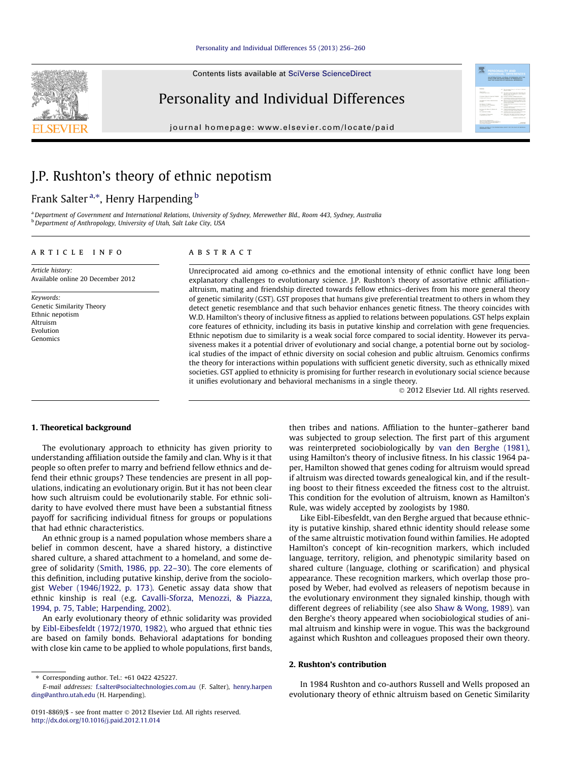#### [Personality and Individual Differences 55 \(2013\) 256–260](http://dx.doi.org/10.1016/j.paid.2012.11.014)

Contents lists available at [SciVerse ScienceDirect](http://www.sciencedirect.com/science/journal/01918869)

## Personality and Individual Differences

journal homepage: [www.elsevier.com/locate/paid](http://www.elsevier.com/locate/paid)

# J.P. Rushton's theory of ethnic nepotism

### Frank Salter <sup>a,\*</sup>, Henry Harpending <sup>b</sup>

a Department of Government and International Relations, University of Sydney, Merewether Bld., Room 443, Sydney, Australia **b** Department of Anthropology, University of Utah, Salt Lake City, USA

#### article info

### **ABSTRACT**

Article history: Available online 20 December 2012

Keywords: Genetic Similarity Theory Ethnic nepotism Altruism Evolution Genomics

Unreciprocated aid among co-ethnics and the emotional intensity of ethnic conflict have long been explanatory challenges to evolutionary science. J.P. Rushton's theory of assortative ethnic affiliation– altruism, mating and friendship directed towards fellow ethnics–derives from his more general theory of genetic similarity (GST). GST proposes that humans give preferential treatment to others in whom they detect genetic resemblance and that such behavior enhances genetic fitness. The theory coincides with W.D. Hamilton's theory of inclusive fitness as applied to relations between populations. GST helps explain core features of ethnicity, including its basis in putative kinship and correlation with gene frequencies. Ethnic nepotism due to similarity is a weak social force compared to social identity. However its pervasiveness makes it a potential driver of evolutionary and social change, a potential borne out by sociological studies of the impact of ethnic diversity on social cohesion and public altruism. Genomics confirms the theory for interactions within populations with sufficient genetic diversity, such as ethnically mixed societies. GST applied to ethnicity is promising for further research in evolutionary social science because it unifies evolutionary and behavioral mechanisms in a single theory.

- 2012 Elsevier Ltd. All rights reserved.

#### 1. Theoretical background

The evolutionary approach to ethnicity has given priority to understanding affiliation outside the family and clan. Why is it that people so often prefer to marry and befriend fellow ethnics and defend their ethnic groups? These tendencies are present in all populations, indicating an evolutionary origin. But it has not been clear how such altruism could be evolutionarily stable. For ethnic solidarity to have evolved there must have been a substantial fitness payoff for sacrificing individual fitness for groups or populations that had ethnic characteristics.

An ethnic group is a named population whose members share a belief in common descent, have a shared history, a distinctive shared culture, a shared attachment to a homeland, and some degree of solidarity [\(Smith, 1986, pp. 22–30\)](#page-4-0). The core elements of this definition, including putative kinship, derive from the sociologist [Weber \(1946/1922, p. 173\).](#page-4-0) Genetic assay data show that ethnic kinship is real (e.g. [Cavalli-Sforza, Menozzi, & Piazza,](#page-4-0) [1994, p. 75, Table](#page-4-0); [Harpending, 2002\)](#page-4-0).

An early evolutionary theory of ethnic solidarity was provided by [Eibl-Eibesfeldt \(1972/1970, 1982\),](#page-4-0) who argued that ethnic ties are based on family bonds. Behavioral adaptations for bonding with close kin came to be applied to whole populations, first bands, then tribes and nations. Affiliation to the hunter–gatherer band was subjected to group selection. The first part of this argument was reinterpreted sociobiologically by [van den Berghe \(1981\),](#page-4-0) using Hamilton's theory of inclusive fitness. In his classic 1964 paper, Hamilton showed that genes coding for altruism would spread if altruism was directed towards genealogical kin, and if the resulting boost to their fitness exceeded the fitness cost to the altruist. This condition for the evolution of altruism, known as Hamilton's Rule, was widely accepted by zoologists by 1980.

Like Eibl-Eibesfeldt, van den Berghe argued that because ethnicity is putative kinship, shared ethnic identity should release some of the same altruistic motivation found within families. He adopted Hamilton's concept of kin-recognition markers, which included language, territory, religion, and phenotypic similarity based on shared culture (language, clothing or scarification) and physical appearance. These recognition markers, which overlap those proposed by Weber, had evolved as releasers of nepotism because in the evolutionary environment they signaled kinship, though with different degrees of reliability (see also [Shaw & Wong, 1989](#page-4-0)). van den Berghe's theory appeared when sociobiological studies of animal altruism and kinship were in vogue. This was the background against which Rushton and colleagues proposed their own theory.

#### 2. Rushton's contribution

In 1984 Rushton and co-authors Russell and Wells proposed an evolutionary theory of ethnic altruism based on Genetic Similarity

<span id="page-0-0"></span>

<sup>⇑</sup> Corresponding author. Tel.: +61 0422 425227.

E-mail addresses: [f.salter@socialtechnologies.com.au](mailto:f.salter@socialtechnologies.com.au) (F. Salter), [henry.harpen](mailto:henry.harpending@anthro.utah.edu) [ding@anthro.utah.edu](mailto:henry.harpending@anthro.utah.edu) (H. Harpending).

<sup>0191-8869/\$ -</sup> see front matter © 2012 Elsevier Ltd. All rights reserved. <http://dx.doi.org/10.1016/j.paid.2012.11.014>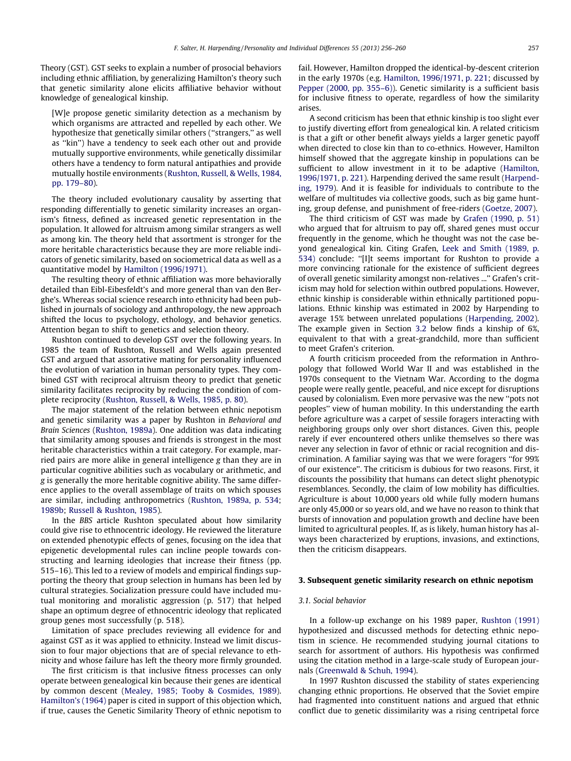Theory (GST). GST seeks to explain a number of prosocial behaviors including ethnic affiliation, by generalizing Hamilton's theory such that genetic similarity alone elicits affiliative behavior without knowledge of genealogical kinship.

[W]e propose genetic similarity detection as a mechanism by which organisms are attracted and repelled by each other. We hypothesize that genetically similar others (''strangers,'' as well as ''kin'') have a tendency to seek each other out and provide mutually supportive environments, while genetically dissimilar others have a tendency to form natural antipathies and provide mutually hostile environments ([Rushton, Russell, & Wells, 1984,](#page-4-0) [pp. 179–80](#page-4-0)).

The theory included evolutionary causality by asserting that responding differentially to genetic similarity increases an organism's fitness, defined as increased genetic representation in the population. It allowed for altruism among similar strangers as well as among kin. The theory held that assortment is stronger for the more heritable characteristics because they are more reliable indicators of genetic similarity, based on sociometrical data as well as a quantitative model by [Hamilton \(1996/1971\).](#page-4-0)

The resulting theory of ethnic affiliation was more behaviorally detailed than Eibl-Eibesfeldt's and more general than van den Berghe's. Whereas social science research into ethnicity had been published in journals of sociology and anthropology, the new approach shifted the locus to psychology, ethology, and behavior genetics. Attention began to shift to genetics and selection theory.

Rushton continued to develop GST over the following years. In 1985 the team of Rushton, Russell and Wells again presented GST and argued that assortative mating for personality influenced the evolution of variation in human personality types. They combined GST with reciprocal altruism theory to predict that genetic similarity facilitates reciprocity by reducing the condition of complete reciprocity [\(Rushton, Russell, & Wells, 1985, p. 80\)](#page-4-0).

The major statement of the relation between ethnic nepotism and genetic similarity was a paper by Rushton in Behavioral and Brain Sciences ([Rushton, 1989a\)](#page-4-0). One addition was data indicating that similarity among spouses and friends is strongest in the most heritable characteristics within a trait category. For example, married pairs are more alike in general intelligence g than they are in particular cognitive abilities such as vocabulary or arithmetic, and g is generally the more heritable cognitive ability. The same difference applies to the overall assemblage of traits on which spouses are similar, including anthropometrics ([Rushton, 1989a, p. 534;](#page-4-0) [1989b](#page-4-0); [Russell & Rushton, 1985](#page-4-0)).

In the BBS article Rushton speculated about how similarity could give rise to ethnocentric ideology. He reviewed the literature on extended phenotypic effects of genes, focusing on the idea that epigenetic developmental rules can incline people towards constructing and learning ideologies that increase their fitness (pp. 515–16). This led to a review of models and empirical findings supporting the theory that group selection in humans has been led by cultural strategies. Socialization pressure could have included mutual monitoring and moralistic aggression (p. 517) that helped shape an optimum degree of ethnocentric ideology that replicated group genes most successfully (p. 518).

Limitation of space precludes reviewing all evidence for and against GST as it was applied to ethnicity. Instead we limit discussion to four major objections that are of special relevance to ethnicity and whose failure has left the theory more firmly grounded.

The first criticism is that inclusive fitness processes can only operate between genealogical kin because their genes are identical by common descent [\(Mealey, 1985; Tooby & Cosmides, 1989\)](#page-4-0). [Hamilton's \(1964\)](#page-4-0) paper is cited in support of this objection which, if true, causes the Genetic Similarity Theory of ethnic nepotism to fail. However, Hamilton dropped the identical-by-descent criterion in the early 1970s (e.g. [Hamilton, 1996/1971, p. 221](#page-4-0); discussed by [Pepper \(2000, pp. 355–6\)](#page-4-0)). Genetic similarity is a sufficient basis for inclusive fitness to operate, regardless of how the similarity arises.

A second criticism has been that ethnic kinship is too slight ever to justify diverting effort from genealogical kin. A related criticism is that a gift or other benefit always yields a larger genetic payoff when directed to close kin than to co-ethnics. However, Hamilton himself showed that the aggregate kinship in populations can be sufficient to allow investment in it to be adaptive [\(Hamilton,](#page-4-0) [1996/1971, p. 221\)](#page-4-0). Harpending derived the same result ([Harpend](#page-4-0)[ing, 1979\)](#page-4-0). And it is feasible for individuals to contribute to the welfare of multitudes via collective goods, such as big game hunting, group defense, and punishment of free-riders [\(Goetze, 2007\)](#page-4-0).

The third criticism of GST was made by [Grafen \(1990, p. 51\)](#page-4-0) who argued that for altruism to pay off, shared genes must occur frequently in the genome, which he thought was not the case beyond genealogical kin. Citing Grafen, [Leek and Smith \(1989, p.](#page-4-0) [534\)](#page-4-0) conclude: ''[I]t seems important for Rushton to provide a more convincing rationale for the existence of sufficient degrees of overall genetic similarity amongst non-relatives ...'' Grafen's criticism may hold for selection within outbred populations. However, ethnic kinship is considerable within ethnically partitioned populations. Ethnic kinship was estimated in 2002 by Harpending to average 15% between unrelated populations [\(Harpending, 2002\)](#page-4-0). The example given in Section [3.2](#page-2-0) below finds a kinship of 6%, equivalent to that with a great-grandchild, more than sufficient to meet Grafen's criterion.

A fourth criticism proceeded from the reformation in Anthropology that followed World War II and was established in the 1970s consequent to the Vietnam War. According to the dogma people were really gentle, peaceful, and nice except for disruptions caused by colonialism. Even more pervasive was the new ''pots not peoples'' view of human mobility. In this understanding the earth before agriculture was a carpet of sessile foragers interacting with neighboring groups only over short distances. Given this, people rarely if ever encountered others unlike themselves so there was never any selection in favor of ethnic or racial recognition and discrimination. A familiar saying was that we were foragers ''for 99% of our existence''. The criticism is dubious for two reasons. First, it discounts the possibility that humans can detect slight phenotypic resemblances. Secondly, the claim of low mobility has difficulties. Agriculture is about 10,000 years old while fully modern humans are only 45,000 or so years old, and we have no reason to think that bursts of innovation and population growth and decline have been limited to agricultural peoples. If, as is likely, human history has always been characterized by eruptions, invasions, and extinctions, then the criticism disappears.

#### 3. Subsequent genetic similarity research on ethnic nepotism

#### 3.1. Social behavior

In a follow-up exchange on his 1989 paper, [Rushton \(1991\)](#page-4-0) hypothesized and discussed methods for detecting ethnic nepotism in science. He recommended studying journal citations to search for assortment of authors. His hypothesis was confirmed using the citation method in a large-scale study of European journals ([Greenwald & Schuh, 1994](#page-4-0)).

In 1997 Rushton discussed the stability of states experiencing changing ethnic proportions. He observed that the Soviet empire had fragmented into constituent nations and argued that ethnic conflict due to genetic dissimilarity was a rising centripetal force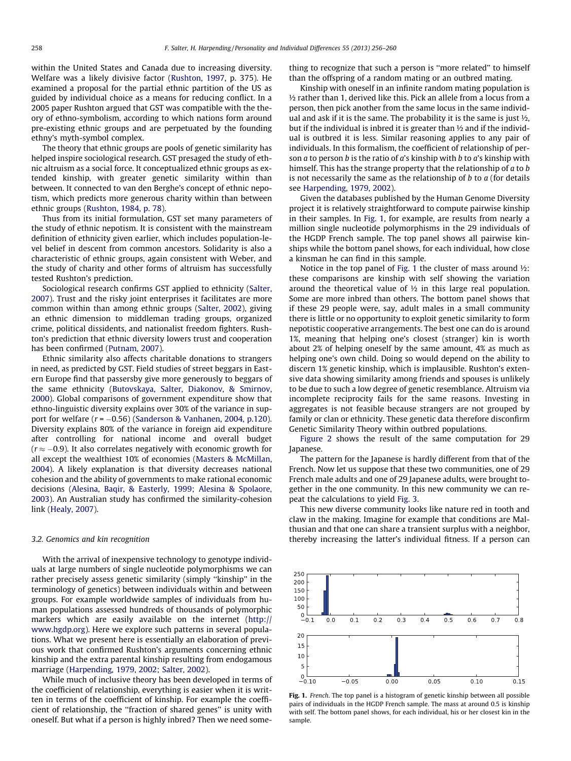<span id="page-2-0"></span>within the United States and Canada due to increasing diversity. Welfare was a likely divisive factor ([Rushton, 1997](#page-4-0), p. 375). He examined a proposal for the partial ethnic partition of the US as guided by individual choice as a means for reducing conflict. In a 2005 paper Rushton argued that GST was compatible with the theory of ethno-symbolism, according to which nations form around pre-existing ethnic groups and are perpetuated by the founding ethny's myth-symbol complex.

The theory that ethnic groups are pools of genetic similarity has helped inspire sociological research. GST presaged the study of ethnic altruism as a social force. It conceptualized ethnic groups as extended kinship, with greater genetic similarity within than between. It connected to van den Berghe's concept of ethnic nepotism, which predicts more generous charity within than between ethnic groups [\(Rushton, 1984, p. 78\)](#page-4-0).

Thus from its initial formulation, GST set many parameters of the study of ethnic nepotism. It is consistent with the mainstream definition of ethnicity given earlier, which includes population-level belief in descent from common ancestors. Solidarity is also a characteristic of ethnic groups, again consistent with Weber, and the study of charity and other forms of altruism has successfully tested Rushton's prediction.

Sociological research confirms GST applied to ethnicity [\(Salter,](#page-4-0) [2007\)](#page-4-0). Trust and the risky joint enterprises it facilitates are more common within than among ethnic groups ([Salter, 2002](#page-4-0)), giving an ethnic dimension to middleman trading groups, organized crime, political dissidents, and nationalist freedom fighters. Rushton's prediction that ethnic diversity lowers trust and cooperation has been confirmed [\(Putnam, 2007](#page-4-0)).

Ethnic similarity also affects charitable donations to strangers in need, as predicted by GST. Field studies of street beggars in Eastern Europe find that passersby give more generously to beggars of the same ethnicity [\(Butovskaya, Salter, Diakonov, & Smirnov,](#page-4-0) [2000\)](#page-4-0). Global comparisons of government expenditure show that ethno-linguistic diversity explains over 30% of the variance in support for welfare (r = -0.56) ([Sanderson & Vanhanen, 2004, p.120\)](#page-4-0). Diversity explains 80% of the variance in foreign aid expenditure after controlling for national income and overall budget ( $r\,{\approx}\,{-}0.9$ ). It also correlates negatively with economic growth for all except the wealthiest 10% of economies [\(Masters & McMillan,](#page-4-0) [2004\)](#page-4-0). A likely explanation is that diversity decreases national cohesion and the ability of governments to make rational economic decisions ([Alesina, Baqir, & Easterly, 1999; Alesina & Spolaore,](#page-4-0) [2003\)](#page-4-0). An Australian study has confirmed the similarity-cohesion link ([Healy, 2007\)](#page-4-0).

#### 3.2. Genomics and kin recognition

With the arrival of inexpensive technology to genotype individuals at large numbers of single nucleotide polymorphisms we can rather precisely assess genetic similarity (simply "kinship" in the terminology of genetics) between individuals within and between groups. For example worldwide samples of individuals from human populations assessed hundreds of thousands of polymorphic markers which are easily available on the internet [\(http://](http://www.hgdp.org) [www.hgdp.org\)](http://www.hgdp.org). Here we explore such patterns in several populations. What we present here is essentially an elaboration of previous work that confirmed Rushton's arguments concerning ethnic kinship and the extra parental kinship resulting from endogamous marriage [\(Harpending, 1979, 2002; Salter, 2002](#page-4-0)).

While much of inclusive theory has been developed in terms of the coefficient of relationship, everything is easier when it is written in terms of the coefficient of kinship. For example the coefficient of relationship, the ''fraction of shared genes'' is unity with oneself. But what if a person is highly inbred? Then we need something to recognize that such a person is ''more related'' to himself than the offspring of a random mating or an outbred mating.

Kinship with oneself in an infinite random mating population is ½ rather than 1, derived like this. Pick an allele from a locus from a person, then pick another from the same locus in the same individual and ask if it is the same. The probability it is the same is just  $\frac{1}{2}$ , but if the individual is inbred it is greater than ½ and if the individual is outbred it is less. Similar reasoning applies to any pair of individuals. In this formalism, the coefficient of relationship of person  $a$  to person  $b$  is the ratio of  $a$ 's kinship with  $b$  to  $a$ 's kinship with himself. This has the strange property that the relationship of a to b is not necessarily the same as the relationship of  $b$  to  $a$  (for details see [Harpending, 1979, 2002\)](#page-4-0).

Given the databases published by the Human Genome Diversity project it is relatively straightforward to compute pairwise kinship in their samples. In Fig. 1, for example, are results from nearly a million single nucleotide polymorphisms in the 29 individuals of the HGDP French sample. The top panel shows all pairwise kinships while the bottom panel shows, for each individual, how close a kinsman he can find in this sample.

Notice in the top panel of Fig. 1 the cluster of mass around ½: these comparisons are kinship with self showing the variation around the theoretical value of  $\frac{1}{2}$  in this large real population. Some are more inbred than others. The bottom panel shows that if these 29 people were, say, adult males in a small community there is little or no opportunity to exploit genetic similarity to form nepotistic cooperative arrangements. The best one can do is around 1%, meaning that helping one's closest (stranger) kin is worth about 2% of helping oneself by the same amount, 4% as much as helping one's own child. Doing so would depend on the ability to discern 1% genetic kinship, which is implausible. Rushton's extensive data showing similarity among friends and spouses is unlikely to be due to such a low degree of genetic resemblance. Altruism via incomplete reciprocity fails for the same reasons. Investing in aggregates is not feasible because strangers are not grouped by family or clan or ethnicity. These genetic data therefore disconfirm Genetic Similarity Theory within outbred populations.

[Figure 2](#page-3-0) shows the result of the same computation for 29 Japanese.

The pattern for the Japanese is hardly different from that of the French. Now let us suppose that these two communities, one of 29 French male adults and one of 29 Japanese adults, were brought together in the one community. In this new community we can repeat the calculations to yield [Fig. 3](#page-3-0).

This new diverse community looks like nature red in tooth and claw in the making. Imagine for example that conditions are Malthusian and that one can share a transient surplus with a neighbor, thereby increasing the latter's individual fitness. If a person can



Fig. 1. French. The top panel is a histogram of genetic kinship between all possible pairs of individuals in the HGDP French sample. The mass at around 0.5 is kinship with self. The bottom panel shows, for each individual, his or her closest kin in the sample.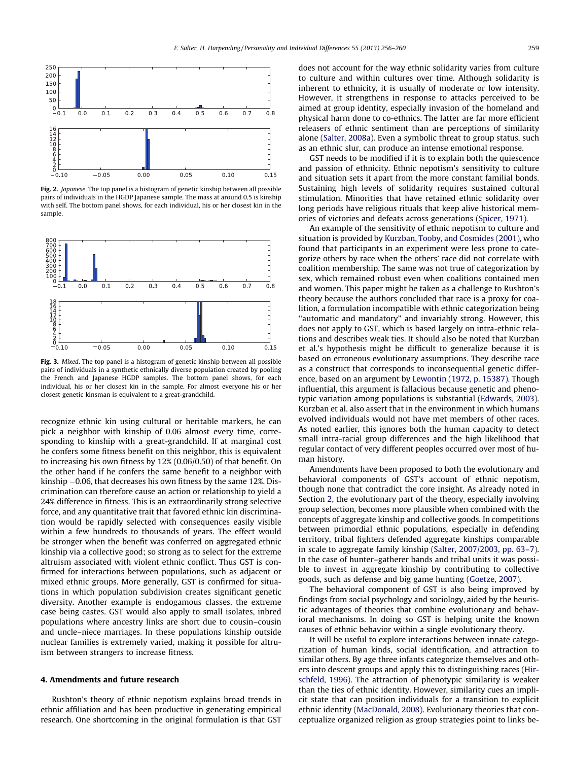<span id="page-3-0"></span>

Fig. 2. Japanese. The top panel is a histogram of genetic kinship between all possible pairs of individuals in the HGDP Japanese sample. The mass at around 0.5 is kinship with self. The bottom panel shows, for each individual, his or her closest kin in the sample.



Fig. 3. Mixed. The top panel is a histogram of genetic kinship between all possible pairs of individuals in a synthetic ethnically diverse population created by pooling the French and Japanese HGDP samples. The bottom panel shows, for each individual, his or her closest kin in the sample. For almost everyone his or her closest genetic kinsman is equivalent to a great-grandchild.

recognize ethnic kin using cultural or heritable markers, he can pick a neighbor with kinship of 0.06 almost every time, corresponding to kinship with a great-grandchild. If at marginal cost he confers some fitness benefit on this neighbor, this is equivalent to increasing his own fitness by 12% (0.06/0.50) of that benefit. On the other hand if he confers the same benefit to a neighbor with kinship –0.06, that decreases his own fitness by the same 12%. Discrimination can therefore cause an action or relationship to yield a 24% difference in fitness. This is an extraordinarily strong selective force, and any quantitative trait that favored ethnic kin discrimination would be rapidly selected with consequences easily visible within a few hundreds to thousands of years. The effect would be stronger when the benefit was conferred on aggregated ethnic kinship via a collective good; so strong as to select for the extreme altruism associated with violent ethnic conflict. Thus GST is confirmed for interactions between populations, such as adjacent or mixed ethnic groups. More generally, GST is confirmed for situations in which population subdivision creates significant genetic diversity. Another example is endogamous classes, the extreme case being castes. GST would also apply to small isolates, inbred populations where ancestry links are short due to cousin–cousin and uncle–niece marriages. In these populations kinship outside nuclear families is extremely varied, making it possible for altruism between strangers to increase fitness.

#### 4. Amendments and future research

Rushton's theory of ethnic nepotism explains broad trends in ethnic affiliation and has been productive in generating empirical research. One shortcoming in the original formulation is that GST does not account for the way ethnic solidarity varies from culture to culture and within cultures over time. Although solidarity is inherent to ethnicity, it is usually of moderate or low intensity. However, it strengthens in response to attacks perceived to be aimed at group identity, especially invasion of the homeland and physical harm done to co-ethnics. The latter are far more efficient releasers of ethnic sentiment than are perceptions of similarity alone ([Salter, 2008a\)](#page-4-0). Even a symbolic threat to group status, such as an ethnic slur, can produce an intense emotional response.

GST needs to be modified if it is to explain both the quiescence and passion of ethnicity. Ethnic nepotism's sensitivity to culture and situation sets it apart from the more constant familial bonds. Sustaining high levels of solidarity requires sustained cultural stimulation. Minorities that have retained ethnic solidarity over long periods have religious rituals that keep alive historical memories of victories and defeats across generations ([Spicer, 1971](#page-4-0)).

An example of the sensitivity of ethnic nepotism to culture and situation is provided by [Kurzban, Tooby, and Cosmides \(2001\)](#page-4-0), who found that participants in an experiment were less prone to categorize others by race when the others' race did not correlate with coalition membership. The same was not true of categorization by sex, which remained robust even when coalitions contained men and women. This paper might be taken as a challenge to Rushton's theory because the authors concluded that race is a proxy for coalition, a formulation incompatible with ethnic categorization being ''automatic and mandatory'' and invariably strong. However, this does not apply to GST, which is based largely on intra-ethnic relations and describes weak ties. It should also be noted that Kurzban et al.'s hypothesis might be difficult to generalize because it is based on erroneous evolutionary assumptions. They describe race as a construct that corresponds to inconsequential genetic difference, based on an argument by [Lewontin \(1972, p. 15387\)](#page-4-0). Though influential, this argument is fallacious because genetic and phenotypic variation among populations is substantial ([Edwards, 2003\)](#page-4-0). Kurzban et al. also assert that in the environment in which humans evolved individuals would not have met members of other races. As noted earlier, this ignores both the human capacity to detect small intra-racial group differences and the high likelihood that regular contact of very different peoples occurred over most of human history.

Amendments have been proposed to both the evolutionary and behavioral components of GST's account of ethnic nepotism, though none that contradict the core insight. As already noted in Section [2](#page-0-0), the evolutionary part of the theory, especially involving group selection, becomes more plausible when combined with the concepts of aggregate kinship and collective goods. In competitions between primordial ethnic populations, especially in defending territory, tribal fighters defended aggregate kinships comparable in scale to aggregate family kinship ([Salter, 2007/2003, pp. 63–7\)](#page-4-0). In the case of hunter–gatherer bands and tribal units it was possible to invest in aggregate kinship by contributing to collective goods, such as defense and big game hunting ([Goetze, 2007](#page-4-0)).

The behavioral component of GST is also being improved by findings from social psychology and sociology, aided by the heuristic advantages of theories that combine evolutionary and behavioral mechanisms. In doing so GST is helping unite the known causes of ethnic behavior within a single evolutionary theory.

It will be useful to explore interactions between innate categorization of human kinds, social identification, and attraction to similar others. By age three infants categorize themselves and others into descent groups and apply this to distinguishing races [\(Hir](#page-4-0)[schfeld, 1996\)](#page-4-0). The attraction of phenotypic similarity is weaker than the ties of ethnic identity. However, similarity cues an implicit state that can position individuals for a transition to explicit ethnic identity [\(MacDonald, 2008\)](#page-4-0). Evolutionary theories that conceptualize organized religion as group strategies point to links be